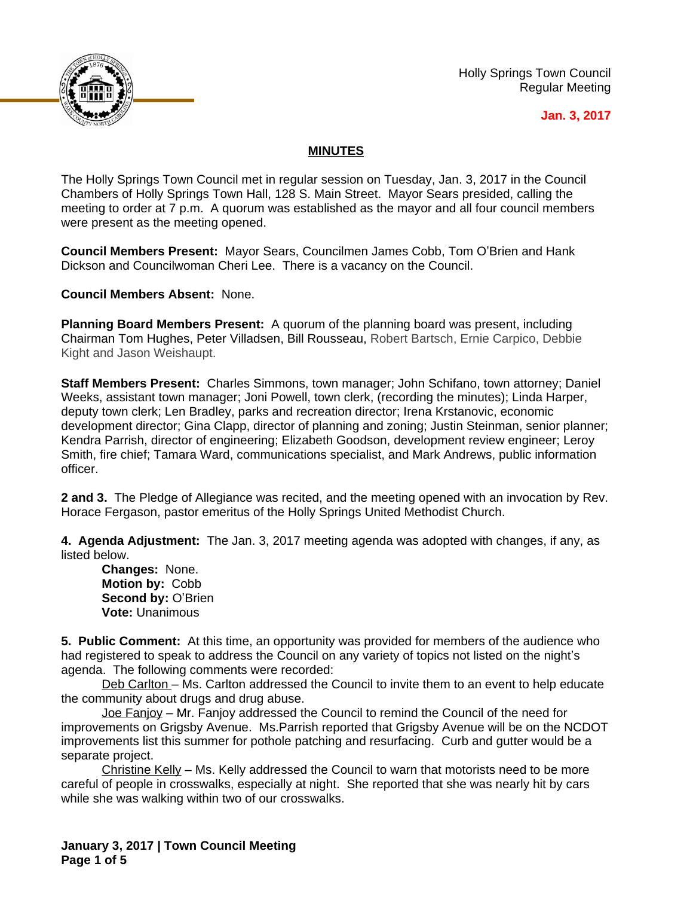

Holly Springs Town Council Regular Meeting

## **Jan. 3, 2017**

## **MINUTES**

The Holly Springs Town Council met in regular session on Tuesday, Jan. 3, 2017 in the Council Chambers of Holly Springs Town Hall, 128 S. Main Street. Mayor Sears presided, calling the meeting to order at 7 p.m. A quorum was established as the mayor and all four council members were present as the meeting opened.

**Council Members Present:** Mayor Sears, Councilmen James Cobb, Tom O'Brien and Hank Dickson and Councilwoman Cheri Lee. There is a vacancy on the Council.

**Council Members Absent:** None.

**Planning Board Members Present:** A quorum of the planning board was present, including Chairman Tom Hughes, Peter Villadsen, Bill Rousseau, Robert Bartsch, Ernie Carpico, Debbie Kight and Jason Weishaupt.

**Staff Members Present:** Charles Simmons, town manager; John Schifano, town attorney; Daniel Weeks, assistant town manager; Joni Powell, town clerk, (recording the minutes); Linda Harper, deputy town clerk; Len Bradley, parks and recreation director; Irena Krstanovic, economic development director; Gina Clapp, director of planning and zoning; Justin Steinman, senior planner; Kendra Parrish, director of engineering; Elizabeth Goodson, development review engineer; Leroy Smith, fire chief; Tamara Ward, communications specialist, and Mark Andrews, public information officer.

**2 and 3.** The Pledge of Allegiance was recited, and the meeting opened with an invocation by Rev. Horace Fergason, pastor emeritus of the Holly Springs United Methodist Church.

**4. Agenda Adjustment:** The Jan. 3, 2017 meeting agenda was adopted with changes, if any, as listed below.

**Changes:** None. **Motion by:** Cobb **Second by:** O'Brien **Vote:** Unanimous

**5. Public Comment:** At this time, an opportunity was provided for members of the audience who had registered to speak to address the Council on any variety of topics not listed on the night's agenda. The following comments were recorded:

Deb Carlton – Ms. Carlton addressed the Council to invite them to an event to help educate the community about drugs and drug abuse.

Joe Fanjoy – Mr. Fanjoy addressed the Council to remind the Council of the need for improvements on Grigsby Avenue. Ms.Parrish reported that Grigsby Avenue will be on the NCDOT improvements list this summer for pothole patching and resurfacing. Curb and gutter would be a separate project.

Christine Kelly – Ms. Kelly addressed the Council to warn that motorists need to be more careful of people in crosswalks, especially at night. She reported that she was nearly hit by cars while she was walking within two of our crosswalks.

**January 3, 2017 | Town Council Meeting Page 1 of 5**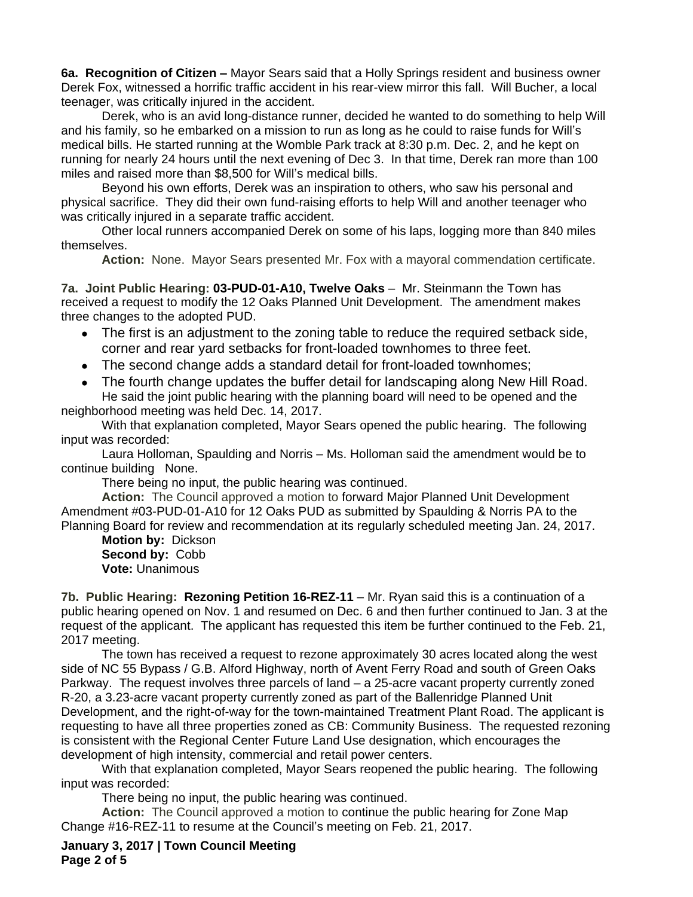**6a. Recognition of Citizen –** Mayor Sears said that a Holly Springs resident and business owner Derek Fox, witnessed a horrific traffic accident in his rear-view mirror this fall. Will Bucher, a local teenager, was critically injured in the accident.

Derek, who is an avid long-distance runner, decided he wanted to do something to help Will and his family, so he embarked on a mission to run as long as he could to raise funds for Will's medical bills. He started running at the Womble Park track at 8:30 p.m. Dec. 2, and he kept on running for nearly 24 hours until the next evening of Dec 3. In that time, Derek ran more than 100 miles and raised more than \$8,500 for Will's medical bills.

Beyond his own efforts, Derek was an inspiration to others, who saw his personal and physical sacrifice. They did their own fund-raising efforts to help Will and another teenager who was critically injured in a separate traffic accident.

Other local runners accompanied Derek on some of his laps, logging more than 840 miles themselves.

**Action:** None. Mayor Sears presented Mr. Fox with a mayoral commendation certificate.

**7a. Joint Public Hearing: 03-PUD-01-A10, Twelve Oaks** – Mr. Steinmann the Town has received a request to modify the 12 Oaks Planned Unit Development. The amendment makes three changes to the adopted PUD.

- The first is an adjustment to the zoning table to reduce the required setback side, corner and rear yard setbacks for front-loaded townhomes to three feet.
- The second change adds a standard detail for front-loaded townhomes;
- The fourth change updates the buffer detail for landscaping along New Hill Road. He said the joint public hearing with the planning board will need to be opened and the neighborhood meeting was held Dec. 14, 2017.

With that explanation completed, Mayor Sears opened the public hearing. The following input was recorded:

Laura Holloman, Spaulding and Norris – Ms. Holloman said the amendment would be to continue building None.

There being no input, the public hearing was continued.

**Action:** The Council approved a motion to forward Major Planned Unit Development Amendment #03-PUD-01-A10 for 12 Oaks PUD as submitted by Spaulding & Norris PA to the Planning Board for review and recommendation at its regularly scheduled meeting Jan. 24, 2017.

**Motion by:** Dickson **Second by:** Cobb **Vote:** Unanimous

**7b. Public Hearing: Rezoning Petition 16-REZ-11** – Mr. Ryan said this is a continuation of a public hearing opened on Nov. 1 and resumed on Dec. 6 and then further continued to Jan. 3 at the request of the applicant. The applicant has requested this item be further continued to the Feb. 21, 2017 meeting.

The town has received a request to rezone approximately 30 acres located along the west side of NC 55 Bypass / G.B. Alford Highway, north of Avent Ferry Road and south of Green Oaks Parkway. The request involves three parcels of land – a 25-acre vacant property currently zoned R-20, a 3.23-acre vacant property currently zoned as part of the Ballenridge Planned Unit Development, and the right-of-way for the town-maintained Treatment Plant Road. The applicant is requesting to have all three properties zoned as CB: Community Business. The requested rezoning is consistent with the Regional Center Future Land Use designation, which encourages the development of high intensity, commercial and retail power centers.

With that explanation completed, Mayor Sears reopened the public hearing. The following input was recorded:

There being no input, the public hearing was continued.

**Action:** The Council approved a motion to continue the public hearing for Zone Map Change #16-REZ-11 to resume at the Council's meeting on Feb. 21, 2017.

**January 3, 2017 | Town Council Meeting Page 2 of 5**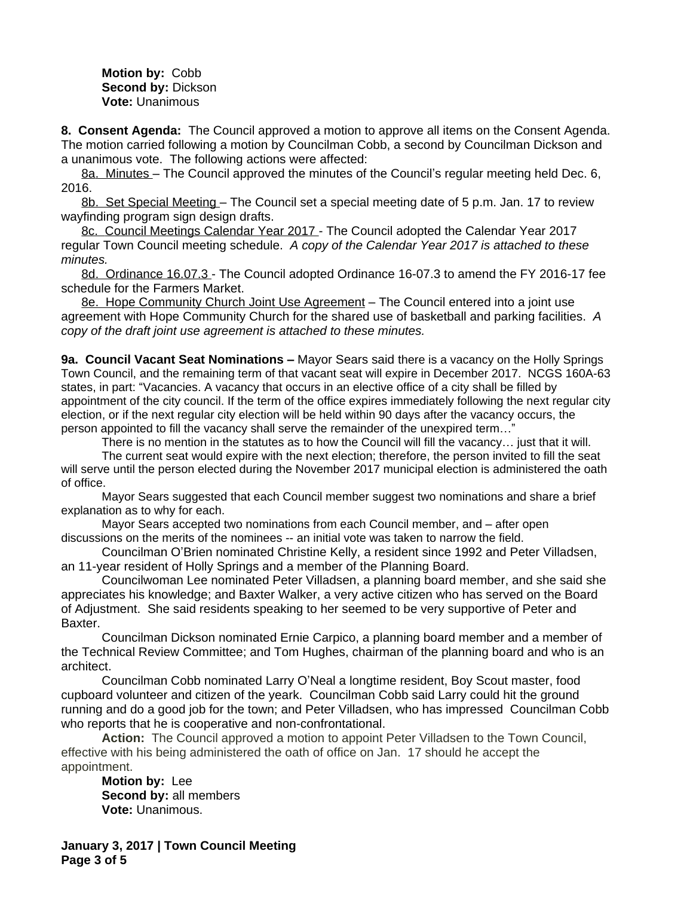**Motion by:** Cobb **Second by:** Dickson **Vote:** Unanimous

**8. Consent Agenda:** The Council approved a motion to approve all items on the Consent Agenda. The motion carried following a motion by Councilman Cobb, a second by Councilman Dickson and a unanimous vote. The following actions were affected:

8a. Minutes – The Council approved the minutes of the Council's regular meeting held Dec. 6, 2016.

8b. Set Special Meeting – The Council set a special meeting date of 5 p.m. Jan. 17 to review wayfinding program sign design drafts.

8c. Council Meetings Calendar Year 2017 - The Council adopted the Calendar Year 2017 regular Town Council meeting schedule.*A copy of the Calendar Year 2017 is attached to these minutes.*

8d. Ordinance 16.07.3 - The Council adopted Ordinance 16-07.3 to amend the FY 2016-17 fee schedule for the Farmers Market.

8e. Hope Community Church Joint Use Agreement – The Council entered into a joint use agreement with Hope Community Church for the shared use of basketball and parking facilities. *A copy of the draft joint use agreement is attached to these minutes.*

**9a. Council Vacant Seat Nominations –** Mayor Sears said there is a vacancy on the Holly Springs Town Council, and the remaining term of that vacant seat will expire in December 2017. NCGS 160A-63 states, in part: "Vacancies. A vacancy that occurs in an elective office of a city shall be filled by appointment of the city council. If the term of the office expires immediately following the next regular city election, or if the next regular city election will be held within 90 days after the vacancy occurs, the person appointed to fill the vacancy shall serve the remainder of the unexpired term…"

There is no mention in the statutes as to how the Council will fill the vacancy… just that it will.

The current seat would expire with the next election; therefore, the person invited to fill the seat will serve until the person elected during the November 2017 municipal election is administered the oath of office.

Mayor Sears suggested that each Council member suggest two nominations and share a brief explanation as to why for each.

Mayor Sears accepted two nominations from each Council member, and – after open discussions on the merits of the nominees -- an initial vote was taken to narrow the field.

Councilman O'Brien nominated Christine Kelly, a resident since 1992 and Peter Villadsen, an 11-year resident of Holly Springs and a member of the Planning Board.

Councilwoman Lee nominated Peter Villadsen, a planning board member, and she said she appreciates his knowledge; and Baxter Walker, a very active citizen who has served on the Board of Adjustment. She said residents speaking to her seemed to be very supportive of Peter and Baxter.

Councilman Dickson nominated Ernie Carpico, a planning board member and a member of the Technical Review Committee; and Tom Hughes, chairman of the planning board and who is an architect.

Councilman Cobb nominated Larry O'Neal a longtime resident, Boy Scout master, food cupboard volunteer and citizen of the yeark. Councilman Cobb said Larry could hit the ground running and do a good job for the town; and Peter Villadsen, who has impressed Councilman Cobb who reports that he is cooperative and non-confrontational.

**Action:** The Council approved a motion to appoint Peter Villadsen to the Town Council, effective with his being administered the oath of office on Jan. 17 should he accept the appointment.

**Motion by:** Lee **Second by:** all members **Vote:** Unanimous.

**January 3, 2017 | Town Council Meeting Page 3 of 5**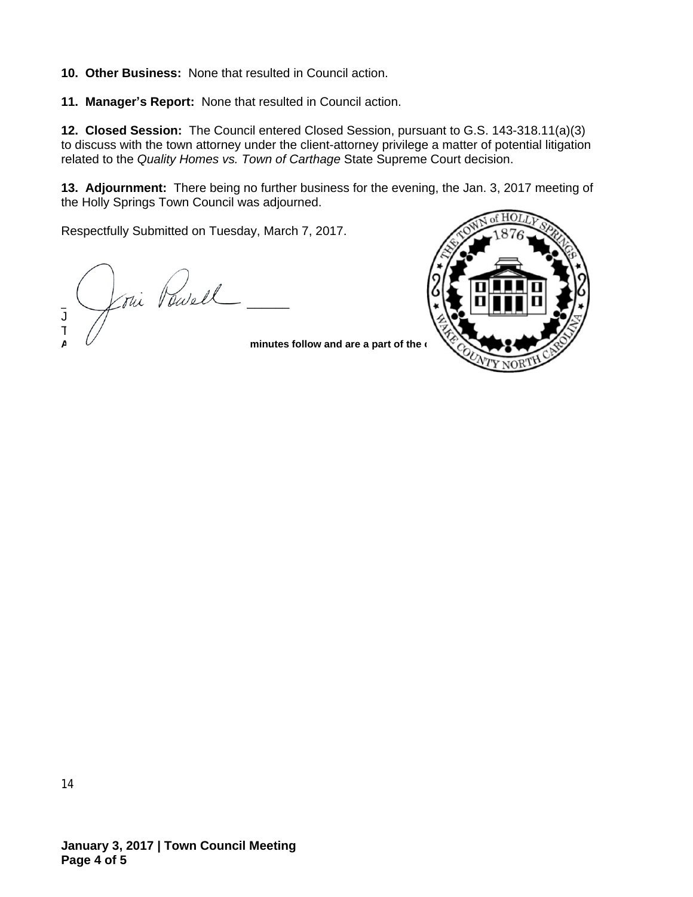**10. Other Business:** None that resulted in Council action.

**11. Manager's Report:** None that resulted in Council action.

**12. Closed Session:** The Council entered Closed Session, pursuant to G.S. 143-318.11(a)(3) to discuss with the town attorney under the client-attorney privilege a matter of potential litigation related to the *Quality Homes vs. Town of Carthage* State Supreme Court decision.

**13. Adjournment:** There being no further business for the evening, the Jan. 3, 2017 meeting of the Holly Springs Town Council was adjourned.

Respectfully Submitted on Tuesday, March 7, 2017.

 $\sim$   $\chi$ ou vouel J $\left/ \right/$ T $\frac{1}{2}$ 

minutes follow and are a part of the